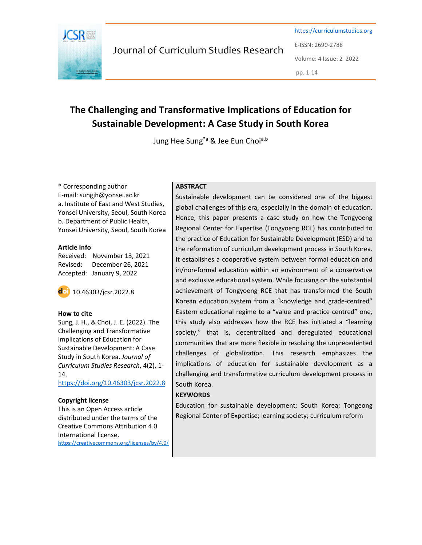

Journal of Curriculum Studies Research

https://curriculumstudies.org E-ISSN: 2690-2788 Volume: 4 Issue: 2 2022 pp. 1-14

# The Challenging and Transformative Implications of Education for Sustainable Development: A Case Study in South Korea

Jung Hee Sung<sup>\*a</sup> & Jee Eun Choi<sup>a,b</sup>

\* Corresponding author E-mail: sungjh@yonsei.ac.kr a. Institute of East and West Studies, Yonsei University, Seoul, South Korea b. Department of Public Health, Yonsei University, Seoul, South Korea

#### Article Info

Received: November 13, 2021 Revised: December 26, 2021 Accepted: January 9, 2022



#### How to cite

Sung, J. H., & Choi, J. E. (2022). The Challenging and Transformative Implications of Education for Sustainable Development: A Case Study in South Korea. Journal of Curriculum Studies Research, 4(2), 1- 14.

https://doi.org/10.46303/jcsr.2022.8

#### Copyright license

This is an Open Access article distributed under the terms of the Creative Commons Attribution 4.0 International license. https://creativecommons.org/licenses/by/4.0/

# **ABSTRACT**

Sustainable development can be considered one of the biggest global challenges of this era, especially in the domain of education. Hence, this paper presents a case study on how the Tongyoeng Regional Center for Expertise (Tongyoeng RCE) has contributed to the practice of Education for Sustainable Development (ESD) and to the reformation of curriculum development process in South Korea. It establishes a cooperative system between formal education and in/non-formal education within an environment of a conservative and exclusive educational system. While focusing on the substantial achievement of Tongyoeng RCE that has transformed the South Korean education system from a "knowledge and grade-centred" Eastern educational regime to a "value and practice centred" one, this study also addresses how the RCE has initiated a "learning society," that is, decentralized and deregulated educational communities that are more flexible in resolving the unprecedented challenges of globalization. This research emphasizes the implications of education for sustainable development as a challenging and transformative curriculum development process in South Korea.

#### **KEYWORDS**

Education for sustainable development; South Korea; Tongeong Regional Center of Expertise; learning society; curriculum reform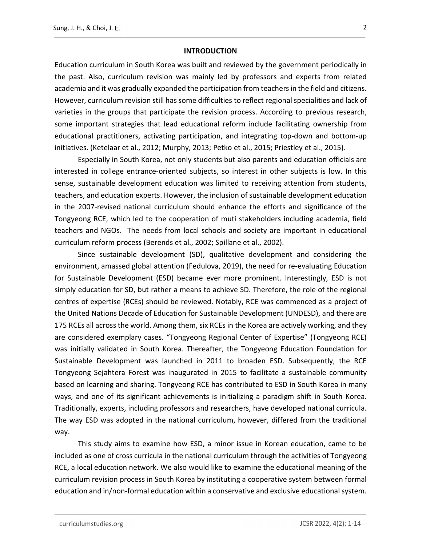#### **INTRODUCTION**

Education curriculum in South Korea was built and reviewed by the government periodically in the past. Also, curriculum revision was mainly led by professors and experts from related academia and it was gradually expanded the participation from teachers in the field and citizens. However, curriculum revision still has some difficulties to reflect regional specialities and lack of varieties in the groups that participate the revision process. According to previous research, some important strategies that lead educational reform include facilitating ownership from educational practitioners, activating participation, and integrating top-down and bottom-up initiatives. (Ketelaar et al., 2012; Murphy, 2013; Petko et al., 2015; Priestley et al., 2015).

Especially in South Korea, not only students but also parents and education officials are interested in college entrance-oriented subjects, so interest in other subjects is low. In this sense, sustainable development education was limited to receiving attention from students, teachers, and education experts. However, the inclusion of sustainable development education in the 2007-revised national curriculum should enhance the efforts and significance of the Tongyeong RCE, which led to the cooperation of muti stakeholders including academia, field teachers and NGOs. The needs from local schools and society are important in educational curriculum reform process (Berends et al., 2002; Spillane et al., 2002).

Since sustainable development (SD), qualitative development and considering the environment, amassed global attention (Fedulova, 2019), the need for re-evaluating Education for Sustainable Development (ESD) became ever more prominent. Interestingly, ESD is not simply education for SD, but rather a means to achieve SD. Therefore, the role of the regional centres of expertise (RCEs) should be reviewed. Notably, RCE was commenced as a project of the United Nations Decade of Education for Sustainable Development (UNDESD), and there are 175 RCEs all across the world. Among them, six RCEs in the Korea are actively working, and they are considered exemplary cases. "Tongyeong Regional Center of Expertise" (Tongyeong RCE) was initially validated in South Korea. Thereafter, the Tongyeong Education Foundation for Sustainable Development was launched in 2011 to broaden ESD. Subsequently, the RCE Tongyeong Sejahtera Forest was inaugurated in 2015 to facilitate a sustainable community based on learning and sharing. Tongyeong RCE has contributed to ESD in South Korea in many ways, and one of its significant achievements is initializing a paradigm shift in South Korea. Traditionally, experts, including professors and researchers, have developed national curricula. The way ESD was adopted in the national curriculum, however, differed from the traditional way.

This study aims to examine how ESD, a minor issue in Korean education, came to be included as one of cross curricula in the national curriculum through the activities of Tongyeong RCE, a local education network. We also would like to examine the educational meaning of the curriculum revision process in South Korea by instituting a cooperative system between formal education and in/non-formal education within a conservative and exclusive educational system.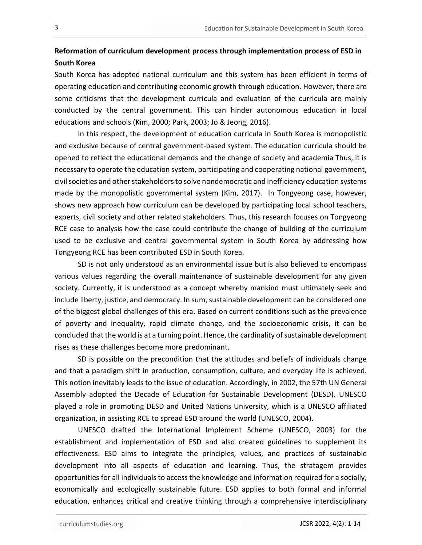# Reformation of curriculum development process through implementation process of ESD in South Korea

South Korea has adopted national curriculum and this system has been efficient in terms of operating education and contributing economic growth through education. However, there are some criticisms that the development curricula and evaluation of the curricula are mainly conducted by the central government. This can hinder autonomous education in local educations and schools (Kim, 2000; Park, 2003; Jo & Jeong, 2016).

In this respect, the development of education curricula in South Korea is monopolistic and exclusive because of central government-based system. The education curricula should be opened to reflect the educational demands and the change of society and academia Thus, it is necessary to operate the education system, participating and cooperating national government, civil societies and other stakeholders to solve nondemocratic and inefficiency education systems made by the monopolistic governmental system (Kim, 2017). In Tongyeong case, however, shows new approach how curriculum can be developed by participating local school teachers, experts, civil society and other related stakeholders. Thus, this research focuses on Tongyeong RCE case to analysis how the case could contribute the change of building of the curriculum used to be exclusive and central governmental system in South Korea by addressing how Tongyeong RCE has been contributed ESD in South Korea.

SD is not only understood as an environmental issue but is also believed to encompass various values regarding the overall maintenance of sustainable development for any given society. Currently, it is understood as a concept whereby mankind must ultimately seek and include liberty, justice, and democracy. In sum, sustainable development can be considered one of the biggest global challenges of this era. Based on current conditions such as the prevalence of poverty and inequality, rapid climate change, and the socioeconomic crisis, it can be concluded that the world is at a turning point. Hence, the cardinality of sustainable development rises as these challenges become more predominant.

SD is possible on the precondition that the attitudes and beliefs of individuals change and that a paradigm shift in production, consumption, culture, and everyday life is achieved. This notion inevitably leads to the issue of education. Accordingly, in 2002, the 57th UN General Assembly adopted the Decade of Education for Sustainable Development (DESD). UNESCO played a role in promoting DESD and United Nations University, which is a UNESCO affiliated organization, in assisting RCE to spread ESD around the world (UNESCO, 2004).

UNESCO drafted the International Implement Scheme (UNESCO, 2003) for the establishment and implementation of ESD and also created guidelines to supplement its effectiveness. ESD aims to integrate the principles, values, and practices of sustainable development into all aspects of education and learning. Thus, the stratagem provides opportunities for all individuals to access the knowledge and information required for a socially, economically and ecologically sustainable future. ESD applies to both formal and informal education, enhances critical and creative thinking through a comprehensive interdisciplinary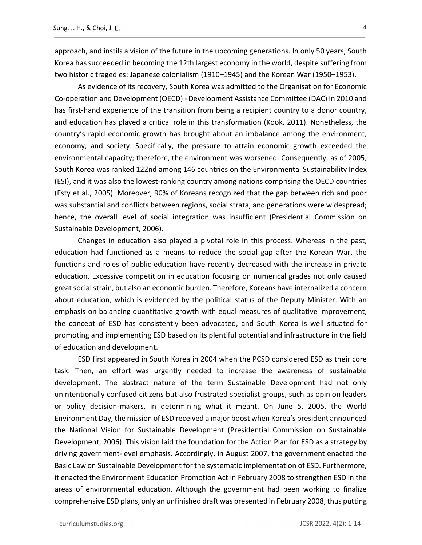approach, and instils a vision of the future in the upcoming generations. In only 50 years, South Korea has succeeded in becoming the 12th largest economy in the world, despite suffering from two historic tragedies: Japanese colonialism (1910–1945) and the Korean War (1950–1953).

As evidence of its recovery, South Korea was admitted to the Organisation for Economic Co-operation and Development (OECD) - Development Assistance Committee (DAC) in 2010 and has first-hand experience of the transition from being a recipient country to a donor country, and education has played a critical role in this transformation (Kook, 2011). Nonetheless, the country's rapid economic growth has brought about an imbalance among the environment, economy, and society. Specifically, the pressure to attain economic growth exceeded the environmental capacity; therefore, the environment was worsened. Consequently, as of 2005, South Korea was ranked 122nd among 146 countries on the Environmental Sustainability Index (ESI), and it was also the lowest-ranking country among nations comprising the OECD countries (Esty et al., 2005). Moreover, 90% of Koreans recognized that the gap between rich and poor was substantial and conflicts between regions, social strata, and generations were widespread; hence, the overall level of social integration was insufficient (Presidential Commission on Sustainable Development, 2006).

Changes in education also played a pivotal role in this process. Whereas in the past, education had functioned as a means to reduce the social gap after the Korean War, the functions and roles of public education have recently decreased with the increase in private education. Excessive competition in education focusing on numerical grades not only caused great social strain, but also an economic burden. Therefore, Koreans have internalized a concern about education, which is evidenced by the political status of the Deputy Minister. With an emphasis on balancing quantitative growth with equal measures of qualitative improvement, the concept of ESD has consistently been advocated, and South Korea is well situated for promoting and implementing ESD based on its plentiful potential and infrastructure in the field of education and development.

ESD first appeared in South Korea in 2004 when the PCSD considered ESD as their core task. Then, an effort was urgently needed to increase the awareness of sustainable development. The abstract nature of the term Sustainable Development had not only unintentionally confused citizens but also frustrated specialist groups, such as opinion leaders or policy decision-makers, in determining what it meant. On June 5, 2005, the World Environment Day, the mission of ESD received a major boost when Korea's president announced the National Vision for Sustainable Development (Presidential Commission on Sustainable Development, 2006). This vision laid the foundation for the Action Plan for ESD as a strategy by driving government-level emphasis. Accordingly, in August 2007, the government enacted the Basic Law on Sustainable Development for the systematic implementation of ESD. Furthermore, it enacted the Environment Education Promotion Act in February 2008 to strengthen ESD in the areas of environmental education. Although the government had been working to finalize comprehensive ESD plans, only an unfinished draft was presented in February 2008, thus putting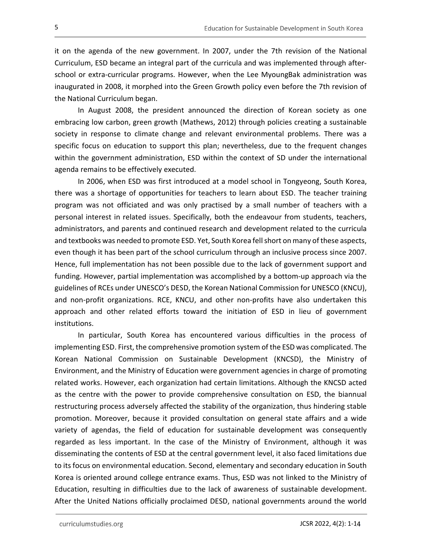it on the agenda of the new government. In 2007, under the 7th revision of the National Curriculum, ESD became an integral part of the curricula and was implemented through afterschool or extra-curricular programs. However, when the Lee MyoungBak administration was inaugurated in 2008, it morphed into the Green Growth policy even before the 7th revision of the National Curriculum began.

In August 2008, the president announced the direction of Korean society as one embracing low carbon, green growth (Mathews, 2012) through policies creating a sustainable society in response to climate change and relevant environmental problems. There was a specific focus on education to support this plan; nevertheless, due to the frequent changes within the government administration, ESD within the context of SD under the international agenda remains to be effectively executed.

In 2006, when ESD was first introduced at a model school in Tongyeong, South Korea, there was a shortage of opportunities for teachers to learn about ESD. The teacher training program was not officiated and was only practised by a small number of teachers with a personal interest in related issues. Specifically, both the endeavour from students, teachers, administrators, and parents and continued research and development related to the curricula and textbooks was needed to promote ESD. Yet, South Korea fell short on many of these aspects, even though it has been part of the school curriculum through an inclusive process since 2007. Hence, full implementation has not been possible due to the lack of government support and funding. However, partial implementation was accomplished by a bottom-up approach via the guidelines of RCEs under UNESCO's DESD, the Korean National Commission for UNESCO (KNCU), and non-profit organizations. RCE, KNCU, and other non-profits have also undertaken this approach and other related efforts toward the initiation of ESD in lieu of government institutions.

In particular, South Korea has encountered various difficulties in the process of implementing ESD. First, the comprehensive promotion system of the ESD was complicated. The Korean National Commission on Sustainable Development (KNCSD), the Ministry of Environment, and the Ministry of Education were government agencies in charge of promoting related works. However, each organization had certain limitations. Although the KNCSD acted as the centre with the power to provide comprehensive consultation on ESD, the biannual restructuring process adversely affected the stability of the organization, thus hindering stable promotion. Moreover, because it provided consultation on general state affairs and a wide variety of agendas, the field of education for sustainable development was consequently regarded as less important. In the case of the Ministry of Environment, although it was disseminating the contents of ESD at the central government level, it also faced limitations due to its focus on environmental education. Second, elementary and secondary education in South Korea is oriented around college entrance exams. Thus, ESD was not linked to the Ministry of Education, resulting in difficulties due to the lack of awareness of sustainable development. After the United Nations officially proclaimed DESD, national governments around the world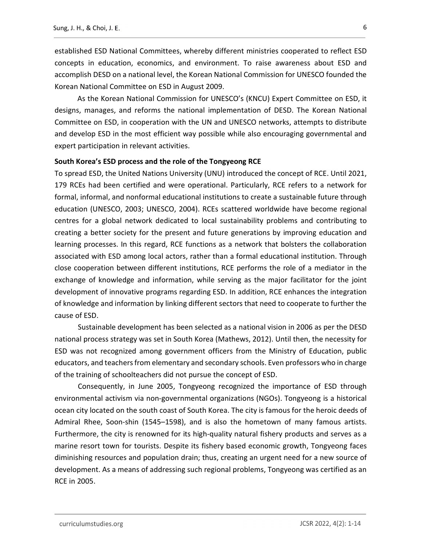established ESD National Committees, whereby different ministries cooperated to reflect ESD concepts in education, economics, and environment. To raise awareness about ESD and accomplish DESD on a national level, the Korean National Commission for UNESCO founded the Korean National Committee on ESD in August 2009.

As the Korean National Commission for UNESCO's (KNCU) Expert Committee on ESD, it designs, manages, and reforms the national implementation of DESD. The Korean National Committee on ESD, in cooperation with the UN and UNESCO networks, attempts to distribute and develop ESD in the most efficient way possible while also encouraging governmental and expert participation in relevant activities.

## South Korea's ESD process and the role of the Tongyeong RCE

To spread ESD, the United Nations University (UNU) introduced the concept of RCE. Until 2021, 179 RCEs had been certified and were operational. Particularly, RCE refers to a network for formal, informal, and nonformal educational institutions to create a sustainable future through education (UNESCO, 2003; UNESCO, 2004). RCEs scattered worldwide have become regional centres for a global network dedicated to local sustainability problems and contributing to creating a better society for the present and future generations by improving education and learning processes. In this regard, RCE functions as a network that bolsters the collaboration associated with ESD among local actors, rather than a formal educational institution. Through close cooperation between different institutions, RCE performs the role of a mediator in the exchange of knowledge and information, while serving as the major facilitator for the joint development of innovative programs regarding ESD. In addition, RCE enhances the integration of knowledge and information by linking different sectors that need to cooperate to further the cause of ESD.

Sustainable development has been selected as a national vision in 2006 as per the DESD national process strategy was set in South Korea (Mathews, 2012). Until then, the necessity for ESD was not recognized among government officers from the Ministry of Education, public educators, and teachers from elementary and secondary schools. Even professors who in charge of the training of schoolteachers did not pursue the concept of ESD.

Consequently, in June 2005, Tongyeong recognized the importance of ESD through environmental activism via non-governmental organizations (NGOs). Tongyeong is a historical ocean city located on the south coast of South Korea. The city is famous for the heroic deeds of Admiral Rhee, Soon-shin (1545–1598), and is also the hometown of many famous artists. Furthermore, the city is renowned for its high-quality natural fishery products and serves as a marine resort town for tourists. Despite its fishery based economic growth, Tongyeong faces diminishing resources and population drain; thus, creating an urgent need for a new source of development. As a means of addressing such regional problems, Tongyeong was certified as an RCE in 2005.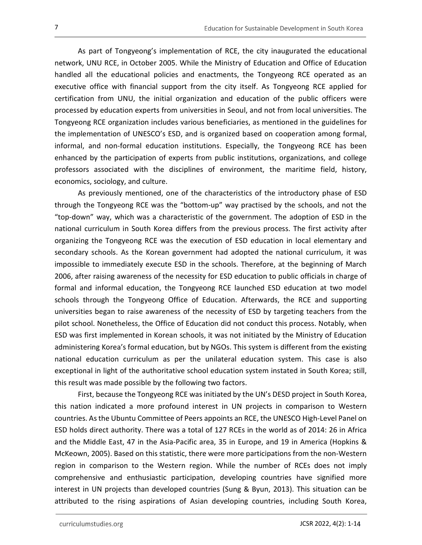As part of Tongyeong's implementation of RCE, the city inaugurated the educational network, UNU RCE, in October 2005. While the Ministry of Education and Office of Education handled all the educational policies and enactments, the Tongyeong RCE operated as an executive office with financial support from the city itself. As Tongyeong RCE applied for certification from UNU, the initial organization and education of the public officers were processed by education experts from universities in Seoul, and not from local universities. The Tongyeong RCE organization includes various beneficiaries, as mentioned in the guidelines for the implementation of UNESCO's ESD, and is organized based on cooperation among formal, informal, and non-formal education institutions. Especially, the Tongyeong RCE has been enhanced by the participation of experts from public institutions, organizations, and college professors associated with the disciplines of environment, the maritime field, history, economics, sociology, and culture.

As previously mentioned, one of the characteristics of the introductory phase of ESD through the Tongyeong RCE was the "bottom-up" way practised by the schools, and not the "top-down" way, which was a characteristic of the government. The adoption of ESD in the national curriculum in South Korea differs from the previous process. The first activity after organizing the Tongyeong RCE was the execution of ESD education in local elementary and secondary schools. As the Korean government had adopted the national curriculum, it was impossible to immediately execute ESD in the schools. Therefore, at the beginning of March 2006, after raising awareness of the necessity for ESD education to public officials in charge of formal and informal education, the Tongyeong RCE launched ESD education at two model schools through the Tongyeong Office of Education. Afterwards, the RCE and supporting universities began to raise awareness of the necessity of ESD by targeting teachers from the pilot school. Nonetheless, the Office of Education did not conduct this process. Notably, when ESD was first implemented in Korean schools, it was not initiated by the Ministry of Education administering Korea's formal education, but by NGOs. This system is different from the existing national education curriculum as per the unilateral education system. This case is also exceptional in light of the authoritative school education system instated in South Korea; still, this result was made possible by the following two factors.

First, because the Tongyeong RCE was initiated by the UN's DESD project in South Korea, this nation indicated a more profound interest in UN projects in comparison to Western countries. As the Ubuntu Committee of Peers appoints an RCE, the UNESCO High-Level Panel on ESD holds direct authority. There was a total of 127 RCEs in the world as of 2014: 26 in Africa and the Middle East, 47 in the Asia-Pacific area, 35 in Europe, and 19 in America (Hopkins & McKeown, 2005). Based on this statistic, there were more participations from the non-Western region in comparison to the Western region. While the number of RCEs does not imply comprehensive and enthusiastic participation, developing countries have signified more interest in UN projects than developed countries (Sung & Byun, 2013). This situation can be attributed to the rising aspirations of Asian developing countries, including South Korea,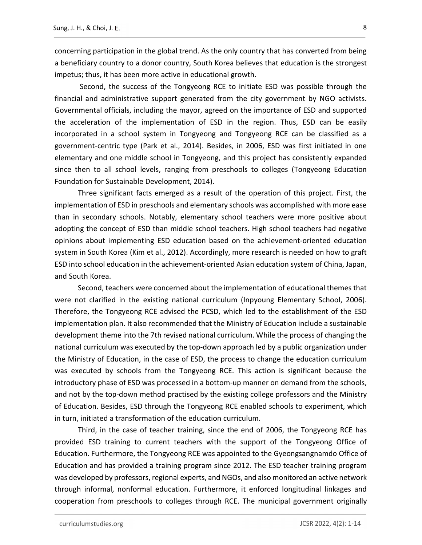concerning participation in the global trend. As the only country that has converted from being a beneficiary country to a donor country, South Korea believes that education is the strongest impetus; thus, it has been more active in educational growth.

 Second, the success of the Tongyeong RCE to initiate ESD was possible through the financial and administrative support generated from the city government by NGO activists. Governmental officials, including the mayor, agreed on the importance of ESD and supported the acceleration of the implementation of ESD in the region. Thus, ESD can be easily incorporated in a school system in Tongyeong and Tongyeong RCE can be classified as a government-centric type (Park et al., 2014). Besides, in 2006, ESD was first initiated in one elementary and one middle school in Tongyeong, and this project has consistently expanded since then to all school levels, ranging from preschools to colleges (Tongyeong Education Foundation for Sustainable Development, 2014).

Three significant facts emerged as a result of the operation of this project. First, the implementation of ESD in preschools and elementary schools was accomplished with more ease than in secondary schools. Notably, elementary school teachers were more positive about adopting the concept of ESD than middle school teachers. High school teachers had negative opinions about implementing ESD education based on the achievement-oriented education system in South Korea (Kim et al., 2012). Accordingly, more research is needed on how to graft ESD into school education in the achievement-oriented Asian education system of China, Japan, and South Korea.

Second, teachers were concerned about the implementation of educational themes that were not clarified in the existing national curriculum (Inpyoung Elementary School, 2006). Therefore, the Tongyeong RCE advised the PCSD, which led to the establishment of the ESD implementation plan. It also recommended that the Ministry of Education include a sustainable development theme into the 7th revised national curriculum. While the process of changing the national curriculum was executed by the top-down approach led by a public organization under the Ministry of Education, in the case of ESD, the process to change the education curriculum was executed by schools from the Tongyeong RCE. This action is significant because the introductory phase of ESD was processed in a bottom-up manner on demand from the schools, and not by the top-down method practised by the existing college professors and the Ministry of Education. Besides, ESD through the Tongyeong RCE enabled schools to experiment, which in turn, initiated a transformation of the education curriculum.

Third, in the case of teacher training, since the end of 2006, the Tongyeong RCE has provided ESD training to current teachers with the support of the Tongyeong Office of Education. Furthermore, the Tongyeong RCE was appointed to the Gyeongsangnamdo Office of Education and has provided a training program since 2012. The ESD teacher training program was developed by professors, regional experts, and NGOs, and also monitored an active network through informal, nonformal education. Furthermore, it enforced longitudinal linkages and cooperation from preschools to colleges through RCE. The municipal government originally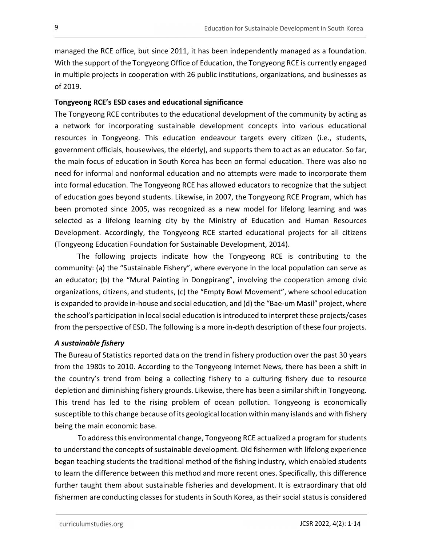managed the RCE office, but since 2011, it has been independently managed as a foundation. With the support of the Tongyeong Office of Education, the Tongyeong RCE is currently engaged in multiple projects in cooperation with 26 public institutions, organizations, and businesses as of 2019.

# Tongyeong RCE's ESD cases and educational significance

The Tongyeong RCE contributes to the educational development of the community by acting as a network for incorporating sustainable development concepts into various educational resources in Tongyeong. This education endeavour targets every citizen (i.e., students, government officials, housewives, the elderly), and supports them to act as an educator. So far, the main focus of education in South Korea has been on formal education. There was also no need for informal and nonformal education and no attempts were made to incorporate them into formal education. The Tongyeong RCE has allowed educators to recognize that the subject of education goes beyond students. Likewise, in 2007, the Tongyeong RCE Program, which has been promoted since 2005, was recognized as a new model for lifelong learning and was selected as a lifelong learning city by the Ministry of Education and Human Resources Development. Accordingly, the Tongyeong RCE started educational projects for all citizens (Tongyeong Education Foundation for Sustainable Development, 2014).

The following projects indicate how the Tongyeong RCE is contributing to the community: (a) the "Sustainable Fishery", where everyone in the local population can serve as an educator; (b) the "Mural Painting in Dongpirang", involving the cooperation among civic organizations, citizens, and students, (c) the "Empty Bowl Movement", where school education is expanded to provide in-house and social education, and (d) the "Bae-um Masil" project, where the school's participation in local social education is introduced to interpret these projects/cases from the perspective of ESD. The following is a more in-depth description of these four projects.

# A sustainable fishery

The Bureau of Statistics reported data on the trend in fishery production over the past 30 years from the 1980s to 2010. According to the Tongyeong Internet News, there has been a shift in the country's trend from being a collecting fishery to a culturing fishery due to resource depletion and diminishing fishery grounds. Likewise, there has been a similar shift in Tongyeong. This trend has led to the rising problem of ocean pollution. Tongyeong is economically susceptible to this change because of its geological location within many islands and with fishery being the main economic base.

To address this environmental change, Tongyeong RCE actualized a program for students to understand the concepts of sustainable development. Old fishermen with lifelong experience began teaching students the traditional method of the fishing industry, which enabled students to learn the difference between this method and more recent ones. Specifically, this difference further taught them about sustainable fisheries and development. It is extraordinary that old fishermen are conducting classes for students in South Korea, as their social status is considered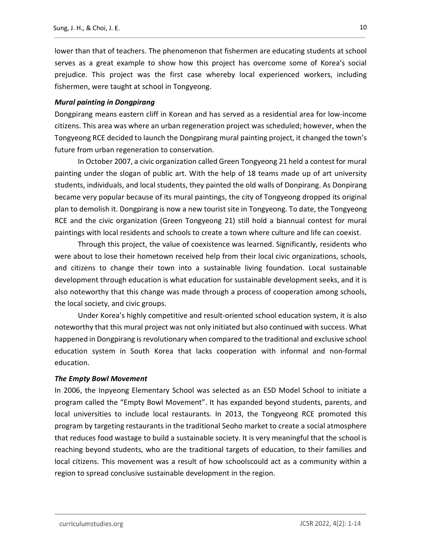lower than that of teachers. The phenomenon that fishermen are educating students at school serves as a great example to show how this project has overcome some of Korea's social prejudice. This project was the first case whereby local experienced workers, including fishermen, were taught at school in Tongyeong.

### Mural painting in Dongpirang

Dongpirang means eastern cliff in Korean and has served as a residential area for low-income citizens. This area was where an urban regeneration project was scheduled; however, when the Tongyeong RCE decided to launch the Dongpirang mural painting project, it changed the town's future from urban regeneration to conservation.

In October 2007, a civic organization called Green Tongyeong 21 held a contest for mural painting under the slogan of public art. With the help of 18 teams made up of art university students, individuals, and local students, they painted the old walls of Donpirang. As Donpirang became very popular because of its mural paintings, the city of Tongyeong dropped its original plan to demolish it. Dongpirang is now a new tourist site in Tongyeong. To date, the Tongyeong RCE and the civic organization (Green Tongyeong 21) still hold a biannual contest for mural paintings with local residents and schools to create a town where culture and life can coexist.

Through this project, the value of coexistence was learned. Significantly, residents who were about to lose their hometown received help from their local civic organizations, schools, and citizens to change their town into a sustainable living foundation. Local sustainable development through education is what education for sustainable development seeks, and it is also noteworthy that this change was made through a process of cooperation among schools, the local society, and civic groups.

Under Korea's highly competitive and result-oriented school education system, it is also noteworthy that this mural project was not only initiated but also continued with success. What happened in Dongpirang is revolutionary when compared to the traditional and exclusive school education system in South Korea that lacks cooperation with informal and non-formal education.

## The Empty Bowl Movement

In 2006, the Inpyeong Elementary School was selected as an ESD Model School to initiate a program called the "Empty Bowl Movement". It has expanded beyond students, parents, and local universities to include local restaurants. In 2013, the Tongyeong RCE promoted this program by targeting restaurants in the traditional Seoho market to create a social atmosphere that reduces food wastage to build a sustainable society. It is very meaningful that the school is reaching beyond students, who are the traditional targets of education, to their families and local citizens. This movement was a result of how schoolscould act as a community within a region to spread conclusive sustainable development in the region.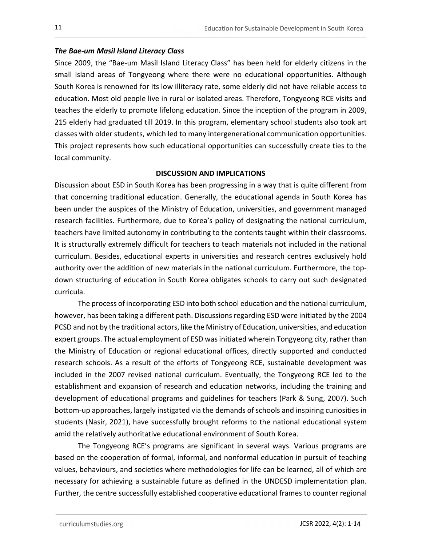# The Bae-um Masil Island Literacy Class

Since 2009, the "Bae-um Masil Island Literacy Class" has been held for elderly citizens in the small island areas of Tongyeong where there were no educational opportunities. Although South Korea is renowned for its low illiteracy rate, some elderly did not have reliable access to education. Most old people live in rural or isolated areas. Therefore, Tongyeong RCE visits and teaches the elderly to promote lifelong education. Since the inception of the program in 2009, 215 elderly had graduated till 2019. In this program, elementary school students also took art classes with older students, which led to many intergenerational communication opportunities. This project represents how such educational opportunities can successfully create ties to the local community.

# DISCUSSION AND IMPLICATIONS

Discussion about ESD in South Korea has been progressing in a way that is quite different from that concerning traditional education. Generally, the educational agenda in South Korea has been under the auspices of the Ministry of Education, universities, and government managed research facilities. Furthermore, due to Korea's policy of designating the national curriculum, teachers have limited autonomy in contributing to the contents taught within their classrooms. It is structurally extremely difficult for teachers to teach materials not included in the national curriculum. Besides, educational experts in universities and research centres exclusively hold authority over the addition of new materials in the national curriculum. Furthermore, the topdown structuring of education in South Korea obligates schools to carry out such designated curricula.

The process of incorporating ESD into both school education and the national curriculum, however, has been taking a different path. Discussions regarding ESD were initiated by the 2004 PCSD and not by the traditional actors, like the Ministry of Education, universities, and education expert groups. The actual employment of ESD was initiated wherein Tongyeong city, rather than the Ministry of Education or regional educational offices, directly supported and conducted research schools. As a result of the efforts of Tongyeong RCE, sustainable development was included in the 2007 revised national curriculum. Eventually, the Tongyeong RCE led to the establishment and expansion of research and education networks, including the training and development of educational programs and guidelines for teachers (Park & Sung, 2007). Such bottom-up approaches, largely instigated via the demands of schools and inspiring curiosities in students (Nasir, 2021), have successfully brought reforms to the national educational system amid the relatively authoritative educational environment of South Korea.

The Tongyeong RCE's programs are significant in several ways. Various programs are based on the cooperation of formal, informal, and nonformal education in pursuit of teaching values, behaviours, and societies where methodologies for life can be learned, all of which are necessary for achieving a sustainable future as defined in the UNDESD implementation plan. Further, the centre successfully established cooperative educational frames to counter regional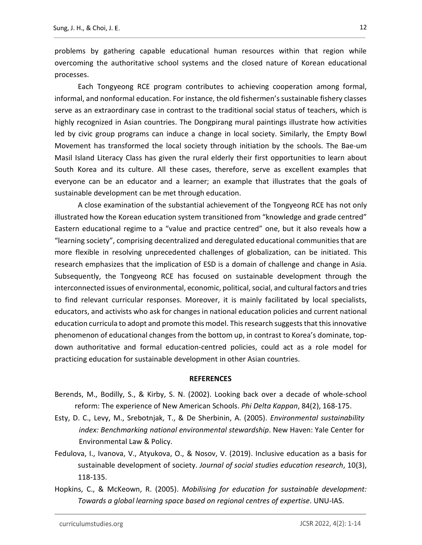problems by gathering capable educational human resources within that region while overcoming the authoritative school systems and the closed nature of Korean educational processes.

Each Tongyeong RCE program contributes to achieving cooperation among formal, informal, and nonformal education. For instance, the old fishermen's sustainable fishery classes serve as an extraordinary case in contrast to the traditional social status of teachers, which is highly recognized in Asian countries. The Dongpirang mural paintings illustrate how activities led by civic group programs can induce a change in local society. Similarly, the Empty Bowl Movement has transformed the local society through initiation by the schools. The Bae-um Masil Island Literacy Class has given the rural elderly their first opportunities to learn about South Korea and its culture. All these cases, therefore, serve as excellent examples that everyone can be an educator and a learner; an example that illustrates that the goals of sustainable development can be met through education.

A close examination of the substantial achievement of the Tongyeong RCE has not only illustrated how the Korean education system transitioned from "knowledge and grade centred" Eastern educational regime to a "value and practice centred" one, but it also reveals how a "learning society", comprising decentralized and deregulated educational communities that are more flexible in resolving unprecedented challenges of globalization, can be initiated. This research emphasizes that the implication of ESD is a domain of challenge and change in Asia. Subsequently, the Tongyeong RCE has focused on sustainable development through the interconnected issues of environmental, economic, political, social, and cultural factors and tries to find relevant curricular responses. Moreover, it is mainly facilitated by local specialists, educators, and activists who ask for changes in national education policies and current national education curricula to adopt and promote this model. This research suggests that this innovative phenomenon of educational changes from the bottom up, in contrast to Korea's dominate, topdown authoritative and formal education-centred policies, could act as a role model for practicing education for sustainable development in other Asian countries.

## **REFERENCES**

- Berends, M., Bodilly, S., & Kirby, S. N. (2002). Looking back over a decade of whole-school reform: The experience of New American Schools. Phi Delta Kappan, 84(2), 168-175.
- Esty, D. C., Levy, M., Srebotnjak, T., & De Sherbinin, A. (2005). Environmental sustainability index: Benchmarking national environmental stewardship. New Haven: Yale Center for Environmental Law & Policy.
- Fedulova, I., Ivanova, V., Atyukova, O., & Nosov, V. (2019). Inclusive education as a basis for sustainable development of society. Journal of social studies education research, 10(3), 118-135.
- Hopkins, C., & McKeown, R. (2005). Mobilising for education for sustainable development: Towards a global learning space based on regional centres of expertise. UNU-IAS.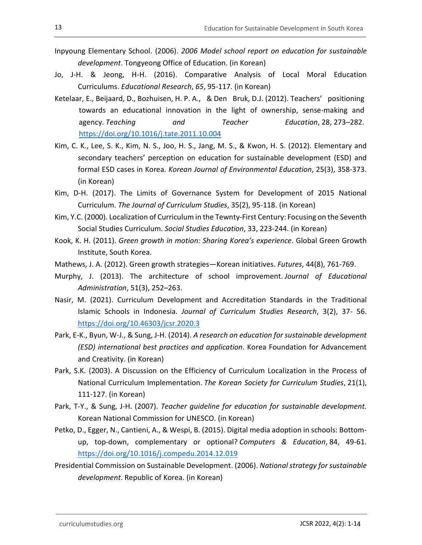- Inpyoung Elementary School. (2006). 2006 Model school report on education for sustainable development. Tongyeong Office of Education. (in Korean)
- Jo, J-H. & Jeong, H-H. (2016). Comparative Analysis of Local Moral Education Curriculums. Educational Research, 65, 95-117. (in Korean)
- Ketelaar, E., Beijaard, D., Bozhuisen, H. P. A., & Den Bruk, D.J. (2012). Teachers' positioning towards an educational innovation in the light of ownership, sense-making and agency. Teaching and Teacher Education, 28, 273–282. https://doi.org/10.1016/j.tate.2011.10.004<br>Kim, C. K., Lee, S. K., Kim, N. S., Joo, H. S., Jang, M. S., & Kwon, H. S. (2012). Elementary and
- secondary teachers' perception on education for sustainable development (ESD) and formal ESD cases in Korea. Korean Journal of Environmental Education, 25(3), 358-373. (in Korean)
- Kim, D-H. (2017). The Limits of Governance System for Development of 2015 National Curriculum. The Journal of Curriculum Studies, 35(2), 95-118. (in Korean)
- Kim, Y.C. (2000). Localization of Curriculum in the Tewnty-First Century: Focusing on the Seventh Social Studies Curriculum. Social Studies Education, 33, 223-244. (in Korean)
- Kook, K. H. (2011). Green growth in motion: Sharing Korea's experience. Global Green Growth Institute, South Korea.
- Mathews, J. A. (2012). Green growth strategies—Korean initiatives. Futures, 44(8), 761-769.
- Murphy, J. (2013). The architecture of school improvement. Journal of Educational Administration, 51(3), 252–263.
- Nasir, M. (2021). Curriculum Development and Accreditation Standards in the Traditional Islamic Schools in Indonesia. Journal of Curriculum Studies Research, 3(2), 37- 56. https://doi.org/10.46303/jcsr.2020.3 Park, E-K., Byun, W-J., & Sung, J-H. (2014). A research on education for sustainable development
- (ESD) international best practices and application. Korea Foundation for Advancement and Creativity. (in Korean)
- Park, S.K. (2003). A Discussion on the Efficiency of Curriculum Localization in the Process of National Curriculum Implementation. The Korean Society for Curriculum Studies, 21(1), 111-127. (in Korean)
- Park, T-Y., & Sung, J-H. (2007). Teacher guideline for education for sustainable development. Korean National Commission for UNESCO. (in Korean)
- Petko, D., Egger, N., Cantieni, A., & Wespi, B. (2015). Digital media adoption in schools: Bottomup, top-down, complementary or optional? Computers & Education, 84, 49-61. https://doi.org/10.1016/j.compedu.2014.12.019 Presidential Commission on Sustainable Development. (2006). National strategy for sustainable
- development. Republic of Korea. (in Korean)